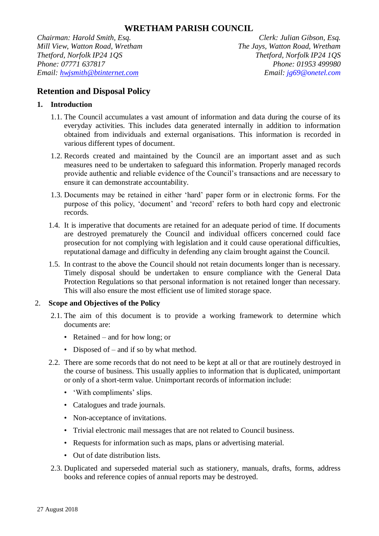*Chairman: Harold Smith, Esq. Clerk: Julian Gibson, Esq. Mill View, Watton Road, Wretham The Jays, Watton Road, Wretham Thetford, Norfolk IP24 1QS Thetford, Norfolk IP24 1QS Phone: 07771 637817 Phone: 01953 499980 Email: hwjsmith@btinternet.com Email: jg69@onetel.com*

# **Retention and Disposal Policy**

# **1. Introduction**

- 1.1. The Council accumulates a vast amount of information and data during the course of its everyday activities. This includes data generated internally in addition to information obtained from individuals and external organisations. This information is recorded in various different types of document.
- 1.2. Records created and maintained by the Council are an important asset and as such measures need to be undertaken to safeguard this information. Properly managed records provide authentic and reliable evidence of the Council's transactions and are necessary to ensure it can demonstrate accountability.
- 1.3. Documents may be retained in either 'hard' paper form or in electronic forms. For the purpose of this policy, 'document' and 'record' refers to both hard copy and electronic records.
- 1.4. It is imperative that documents are retained for an adequate period of time. If documents are destroyed prematurely the Council and individual officers concerned could face prosecution for not complying with legislation and it could cause operational difficulties, reputational damage and difficulty in defending any claim brought against the Council.
- 1.5. In contrast to the above the Council should not retain documents longer than is necessary. Timely disposal should be undertaken to ensure compliance with the General Data Protection Regulations so that personal information is not retained longer than necessary. This will also ensure the most efficient use of limited storage space.

# 2. **Scope and Objectives of the Policy**

- 2.1. The aim of this document is to provide a working framework to determine which documents are:
	- Retained and for how long; or
	- Disposed of and if so by what method.
- 2.2. There are some records that do not need to be kept at all or that are routinely destroyed in the course of business. This usually applies to information that is duplicated, unimportant or only of a short-term value. Unimportant records of information include:
	- 'With compliments' slips.
	- Catalogues and trade journals.
	- Non-acceptance of invitations.
	- Trivial electronic mail messages that are not related to Council business.
	- Requests for information such as maps, plans or advertising material.
	- Out of date distribution lists.
- 2.3. Duplicated and superseded material such as stationery, manuals, drafts, forms, address books and reference copies of annual reports may be destroyed.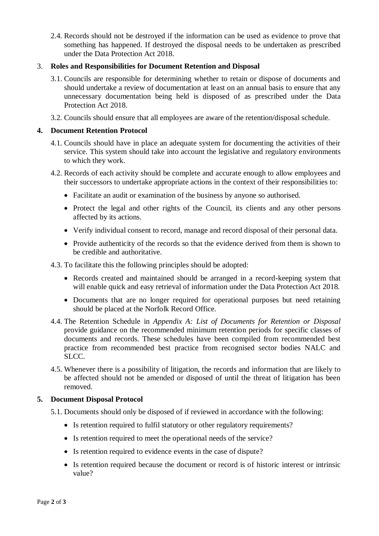2.4. Records should not be destroyed if the information can be used as evidence to prove that something has happened. If destroyed the disposal needs to be undertaken as prescribed under the Data Protection Act 2018.

## 3. **Roles and Responsibilities for Document Retention and Disposal**

- 3.1. Councils are responsible for determining whether to retain or dispose of documents and should undertake a review of documentation at least on an annual basis to ensure that any unnecessary documentation being held is disposed of as prescribed under the Data Protection Act 2018.
- 3.2. Councils should ensure that all employees are aware of the retention/disposal schedule.

## **4. Document Retention Protocol**

- 4.1. Councils should have in place an adequate system for documenting the activities of their service. This system should take into account the legislative and regulatory environments to which they work.
- 4.2. Records of each activity should be complete and accurate enough to allow employees and their successors to undertake appropriate actions in the context of their responsibilities to:
	- Facilitate an audit or examination of the business by anyone so authorised.
	- Protect the legal and other rights of the Council, its clients and any other persons affected by its actions.
	- Verify individual consent to record, manage and record disposal of their personal data.
	- Provide authenticity of the records so that the evidence derived from them is shown to be credible and authoritative.
- 4.3. To facilitate this the following principles should be adopted:
	- Records created and maintained should be arranged in a record-keeping system that will enable quick and easy retrieval of information under the Data Protection Act 2018.
	- Documents that are no longer required for operational purposes but need retaining should be placed at the Norfolk Record Office.
- 4.4. The Retention Schedule in *Appendix A: List of Documents for Retention or Disposal* provide guidance on the recommended minimum retention periods for specific classes of documents and records. These schedules have been compiled from recommended best practice from recommended best practice from recognised sector bodies NALC and SLCC.
- 4.5. Whenever there is a possibility of litigation, the records and information that are likely to be affected should not be amended or disposed of until the threat of litigation has been removed.

#### **5. Document Disposal Protocol**

- 5.1. Documents should only be disposed of if reviewed in accordance with the following:
	- Is retention required to fulfil statutory or other regulatory requirements?
	- Is retention required to meet the operational needs of the service?
	- Is retention required to evidence events in the case of dispute?
	- Is retention required because the document or record is of historic interest or intrinsic value?